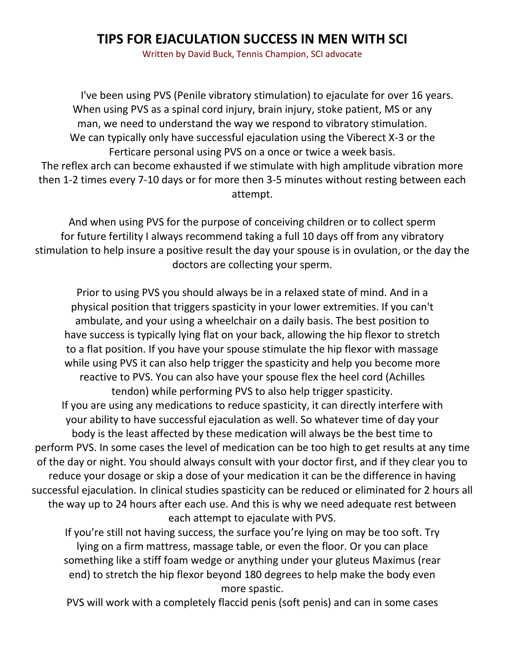## **TIPS FOR EJACULATION SUCCESS IN MEN WITH SCI**

Written by David Buck, Tennis Champion, SCI advocate

I've been using PVS (Penile vibratory stimulation) to ejaculate for over 16 years. When using PVS as a spinal cord injury, brain injury, stoke patient, MS or any man, we need to understand the way we respond to vibratory stimulation. We can typically only have successful ejaculation using the Viberect X-3 or the Ferticare personal using PVS on a once or twice a week basis. The reflex arch can become exhausted if we stimulate with high amplitude vibration more then 1-2 times every 7-10 days or for more then 3-5 minutes without resting between each attempt.

And when using PVS for the purpose of conceiving children or to collect sperm for future fertility I always recommend taking a full 10 days off from any vibratory stimulation to help insure a positive result the day your spouse is in ovulation, or the day the doctors are collecting your sperm.

Prior to using PVS you should always be in a relaxed state of mind. And in a physical position that triggers spasticity in your lower extremities. If you can't ambulate, and your using a wheelchair on a daily basis. The best position to have success is typically lying flat on your back, allowing the hip flexor to stretch to a flat position. If you have your spouse stimulate the hip flexor with massage while using PVS it can also help trigger the spasticity and help you become more reactive to PVS. You can also have your spouse flex the heel cord (Achilles tendon) while performing PVS to also help trigger spasticity. If you are using any medications to reduce spasticity, it can directly interfere with your ability to have successful ejaculation as well. So whatever time of day your body is the least affected by these medication will always be the best time to perform PVS. In some cases the level of medication can be too high to get results at any time of the day or night. You should always consult with your doctor first, and if they clear you to reduce your dosage or skip a dose of your medication it can be the difference in having successful ejaculation. In clinical studies spasticity can be reduced or eliminated for 2 hours all the way up to 24 hours after each use. And this is why we need adequate rest between each attempt to ejaculate with PVS.

If you're still not having success, the surface you're lying on may be too soft. Try lying on a firm mattress, massage table, or even the floor. Or you can place something like a stiff foam wedge or anything under your gluteus Maximus (rear end) to stretch the hip flexor beyond 180 degrees to help make the body even more spastic.

PVS will work with a completely flaccid penis (soft penis) and can in some cases